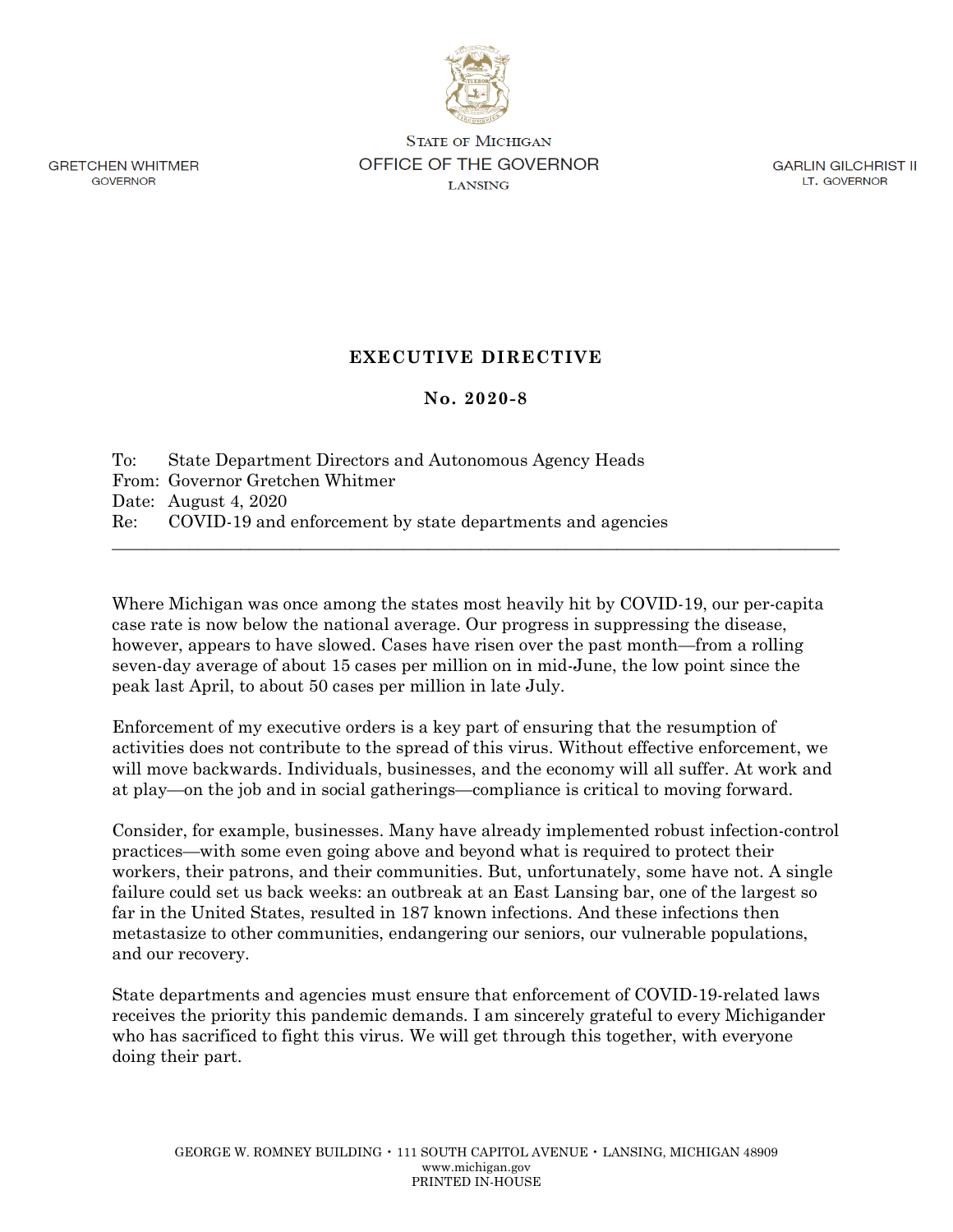

**GRETCHEN WHITMER GOVERNOR** 

**STATE OF MICHIGAN OFFICE OF THE GOVERNOR**  LANSING

GARLIN GILCHRIST II LT. GOVERNOR

## **EXECUTIVE DIRECTIVE**

## **No. 2020-8**

| To: State Department Directors and Autonomous Agency Heads     |
|----------------------------------------------------------------|
| From: Governor Gretchen Whitmer                                |
| Date: August $4,2020$                                          |
| Re: COVID-19 and enforcement by state departments and agencies |

Where Michigan was once among the states most heavily hit by COVID-19, our per-capita case rate is now below the national average. Our progress in suppressing the disease, however, appears to have slowed. Cases have risen over the past month—from a rolling seven-day average of about 15 cases per million on in mid-June, the low point since the peak last April, to about 50 cases per million in late July.

 $\_$  , and the set of the set of the set of the set of the set of the set of the set of the set of the set of the set of the set of the set of the set of the set of the set of the set of the set of the set of the set of th

Enforcement of my executive orders is a key part of ensuring that the resumption of activities does not contribute to the spread of this virus. Without effective enforcement, we will move backwards. Individuals, businesses, and the economy will all suffer. At work and at play—on the job and in social gatherings—compliance is critical to moving forward.

Consider, for example, businesses. Many have already implemented robust infection-control practices—with some even going above and beyond what is required to protect their workers, their patrons, and their communities. But, unfortunately, some have not. A single failure could set us back weeks: an outbreak at an East Lansing bar, one of the largest so far in the United States, resulted in 187 known infections. And these infections then metastasize to other communities, endangering our seniors, our vulnerable populations, and our recovery.

State departments and agencies must ensure that enforcement of COVID-19-related laws receives the priority this pandemic demands. I am sincerely grateful to every Michigander who has sacrificed to fight this virus. We will get through this together, with everyone doing their part.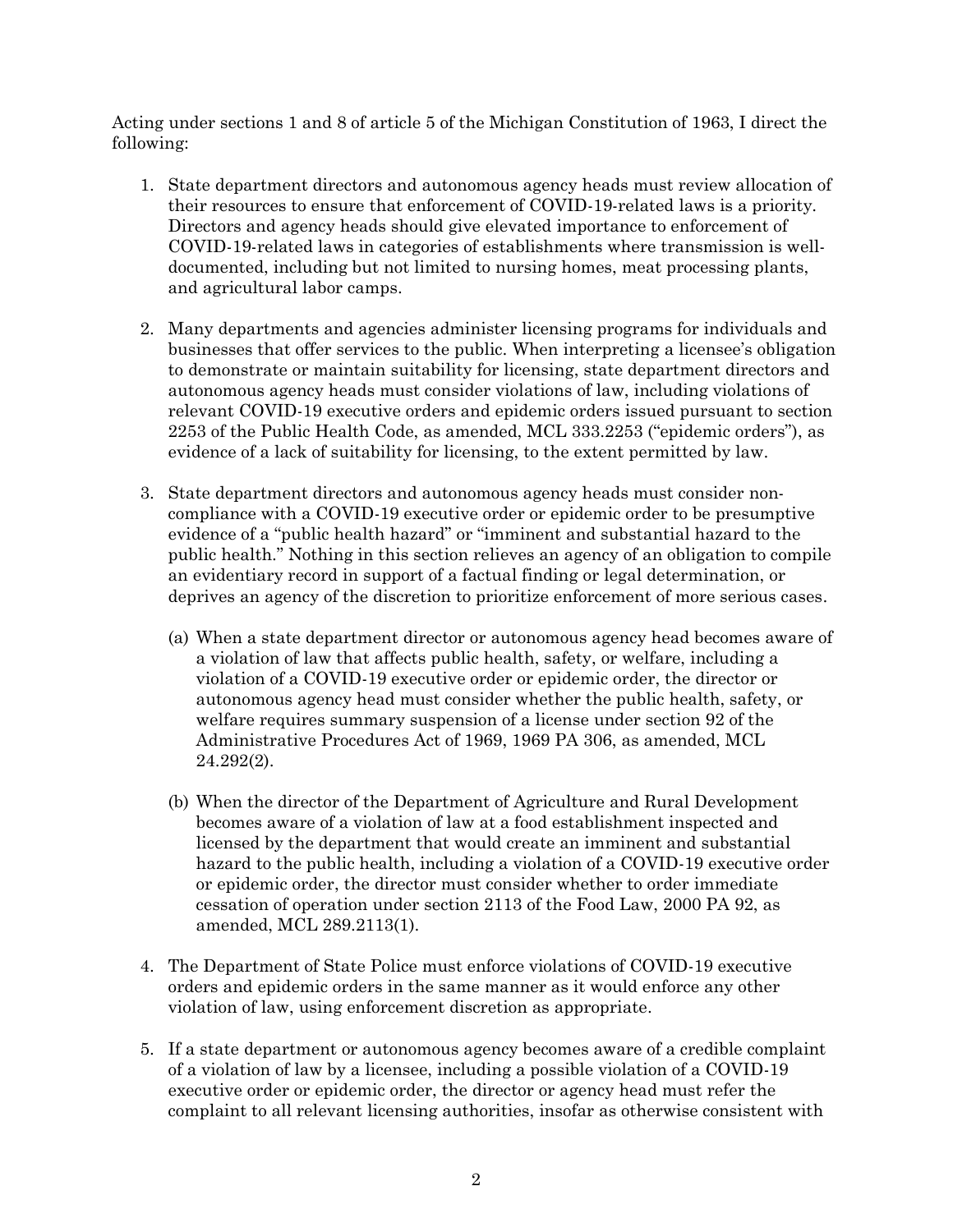Acting under sections 1 and 8 of article 5 of the Michigan Constitution of 1963, I direct the following:

- 1. State department directors and autonomous agency heads must review allocation of their resources to ensure that enforcement of COVID-19-related laws is a priority. Directors and agency heads should give elevated importance to enforcement of COVID-19-related laws in categories of establishments where transmission is welldocumented, including but not limited to nursing homes, meat processing plants, and agricultural labor camps.
- 2. Many departments and agencies administer licensing programs for individuals and businesses that offer services to the public. When interpreting a licensee's obligation to demonstrate or maintain suitability for licensing, state department directors and autonomous agency heads must consider violations of law, including violations of relevant COVID-19 executive orders and epidemic orders issued pursuant to section 2253 of the Public Health Code, as amended, MCL 333.2253 ("epidemic orders"), as evidence of a lack of suitability for licensing, to the extent permitted by law.
- 3. State department directors and autonomous agency heads must consider noncompliance with a COVID-19 executive order or epidemic order to be presumptive evidence of a "public health hazard" or "imminent and substantial hazard to the public health." Nothing in this section relieves an agency of an obligation to compile an evidentiary record in support of a factual finding or legal determination, or deprives an agency of the discretion to prioritize enforcement of more serious cases.
	- (a) When a state department director or autonomous agency head becomes aware of a violation of law that affects public health, safety, or welfare, including a violation of a COVID-19 executive order or epidemic order, the director or autonomous agency head must consider whether the public health, safety, or welfare requires summary suspension of a license under section 92 of the Administrative Procedures Act of 1969, 1969 PA 306, as amended, MCL 24.292(2).
	- (b) When the director of the Department of Agriculture and Rural Development becomes aware of a violation of law at a food establishment inspected and licensed by the department that would create an imminent and substantial hazard to the public health, including a violation of a COVID-19 executive order or epidemic order, the director must consider whether to order immediate cessation of operation under section 2113 of the Food Law, 2000 PA 92, as amended, MCL 289.2113(1).
- 4. The Department of State Police must enforce violations of COVID-19 executive orders and epidemic orders in the same manner as it would enforce any other violation of law, using enforcement discretion as appropriate.
- 5. If a state department or autonomous agency becomes aware of a credible complaint of a violation of law by a licensee, including a possible violation of a COVID-19 executive order or epidemic order, the director or agency head must refer the complaint to all relevant licensing authorities, insofar as otherwise consistent with